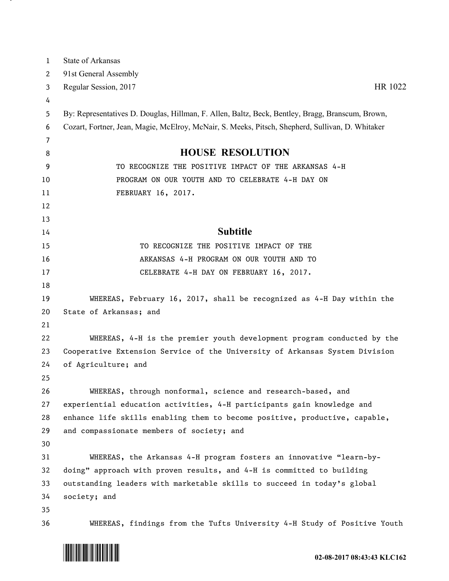| 1        | State of Arkansas                                                                                |
|----------|--------------------------------------------------------------------------------------------------|
| 2        | 91st General Assembly                                                                            |
| 3        | Regular Session, 2017<br>HR 1022                                                                 |
| 4        |                                                                                                  |
| 5        | By: Representatives D. Douglas, Hillman, F. Allen, Baltz, Beck, Bentley, Bragg, Branscum, Brown, |
| 6        | Cozart, Fortner, Jean, Magie, McElroy, McNair, S. Meeks, Pitsch, Shepherd, Sullivan, D. Whitaker |
| 7        |                                                                                                  |
| 8        | <b>HOUSE RESOLUTION</b>                                                                          |
| 9        | TO RECOGNIZE THE POSITIVE IMPACT OF THE ARKANSAS 4-H                                             |
| 10       | PROGRAM ON OUR YOUTH AND TO CELEBRATE 4-H DAY ON                                                 |
| 11       | FEBRUARY 16, 2017.                                                                               |
| 12       |                                                                                                  |
| 13       |                                                                                                  |
| 14       | <b>Subtitle</b>                                                                                  |
| 15       | TO RECOGNIZE THE POSITIVE IMPACT OF THE                                                          |
| 16       | ARKANSAS 4-H PROGRAM ON OUR YOUTH AND TO                                                         |
| 17       | CELEBRATE 4-H DAY ON FEBRUARY 16, 2017.                                                          |
| 18       |                                                                                                  |
| 19       | WHEREAS, February 16, 2017, shall be recognized as 4-H Day within the                            |
| 20       | State of Arkansas; and                                                                           |
| 21       |                                                                                                  |
| 22       | WHEREAS, 4-H is the premier youth development program conducted by the                           |
| 23       | Cooperative Extension Service of the University of Arkansas System Division                      |
| 24       | of Agriculture; and                                                                              |
| 25<br>26 | WHEREAS, through nonformal, science and research-based, and                                      |
| 27       | experiential education activities, 4-H participants gain knowledge and                           |
| 28       | enhance life skills enabling them to become positive, productive, capable,                       |
| 29       | and compassionate members of society; and                                                        |
| 30       |                                                                                                  |
| 31       | WHEREAS, the Arkansas 4-H program fosters an innovative "learn-by-                               |
| 32       | doing" approach with proven results, and 4-H is committed to building                            |
| 33       | outstanding leaders with marketable skills to succeed in today's global                          |
| 34       | society; and                                                                                     |
| 35       |                                                                                                  |
| 36       | WHEREAS, findings from the Tufts University 4-H Study of Positive Youth                          |



<u>на п</u>